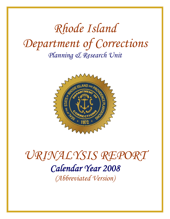# *Rhode Island Department of Corrections Planning & Research Unit*



# *URINALYSIS REPORT Calendar Year 2008 (Abbreviated Version)*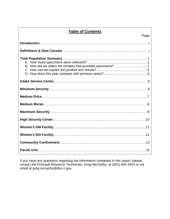### **Table of Contents**

| Page |  |
|------|--|
|      |  |
|      |  |
|      |  |
|      |  |
|      |  |
|      |  |
|      |  |
|      |  |
|      |  |
|      |  |
|      |  |
|      |  |
|      |  |

If you have any questions regarding the information contained in this report, please contact the Principal Research Technician, Greg McCarthy, at (401) 462-3924 or via email at greg.mccarthy@doc.ri.gov.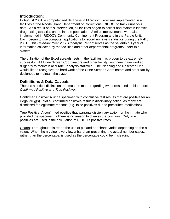### **Introduction:**

In August 2001, a computerized database in Microsoft Excel was implemented in all facilities at the Rhode Island Department of Corrections (RIDOC) to track urinalysis data. As a result of this intervention, all facilities began to collect and maintain identical drug testing statistics on the inmate population. Similar improvements were also implemented in RIDOC's Community Confinement Program and in the Parole Unit. Each began to use computer applications to record urinalysis statistics during the Fall of 2001. This *Calendar Year 2008 Urinalysis Report* serves as the seventh full year of information collected by the facilities and other departmental programs under this system.

The utilization of the Excel spreadsheets in the facilities has proven to be extremely successful. All Urine Screen Coordinators and other facility designees have worked diligently to maintain accurate urinalysis statistics. The Planning and Research Unit would like to recognize the hard work of the Urine Screen Coordinators and other facility designees to maintain the system.

### **Definitions & Data Caveats:**

There is a critical distinction that must be made regarding two terms used in this report: *Confirmed Positive* and *True Positive*.

Confirmed Positive: A urine specimen with conclusive test results that are positive for an illegal drug(s). Not all confirmed positives result in disciplinary action, as many are dismissed for legitimate reasons (e.g. false positives due to prescribed medication).

True Positive: A confirmed positive that warrants disciplinary action for the inmate who provided the specimen. (There is no reason to dismiss the positive). Only true positives are used in the calculation of RIDOC's positive rates.

Charts: Throughout this report the use of pie and bar charts varies depending on the nvalue. When the n-value is very low a bar chart presenting the actual number cases, rather than the percentage, is used as the percentage could be misleading.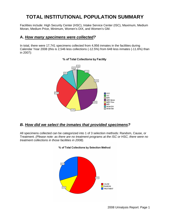# **TOTAL INSTITUTIONAL POPULATION SUMMARY**

Facilities include: High Security Center (HSC), Intake Service Center (ISC), Maximum, Medium Moran, Medium Price, Minimum, Women's DIX, and Women's GM.

### **A.** *How many specimens were collected?*

In total, there were 17,741 specimens collected from 4,956 inmates in the facilities during Calendar Year 2008 (this is 2,546 less collections (-12.5%) from 648 less inmates (-11.6%) than in 2007):



### % of Total Collections by Facility

### *B. How did we select the inmates that provided specimens?*

All specimens collected can be categorized into 1 of 3 selection methods: Random, Cause, or Treatment. *(Please note: as there are no treatment programs at the ISC or HSC, there were no treatment collections in those facilities in 2008).*



### % of Total Collections by Selection Method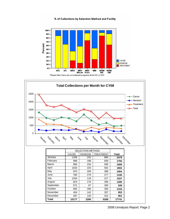% of Collections by Selection Method and Facility



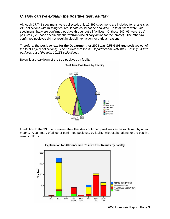### *C. How can we explain the positive test results?*

Although 17,741 specimens were collected, only 17,499 specimens are included for analysis as 242 collections with missing test result data could not be analyzed. In total, there were 542 specimens that were confirmed positive throughout all facilities. Of those 542, 93 were "true" positives (i.e. those specimens that warrant disciplinary action for the inmate). The other 449 confirmed positives did not result in disciplinary action for various reasons.

Therefore, **the positive rate for the Department for 2008 was 0.53%** (93 true positives out of the total 17,499 collections). *The positive rate for the Department in 2007 was 0.76% (154 true positives out of the total 20,158 collections).* 

% of True Positives by Facility



Below is a breakdown of the true positives by facility.

In addition to the 93 true positives, the other 449 confirmed positives can be explained by other means. A summary of all other confirmed positives, by facility, with explanations for the positive results follows:



### Explanation for All Confirmed Positive Test Results by Facility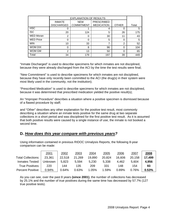|                  | <b>EXPLANATION OF RESULTS</b>      |                                 |                                        |               |       |
|------------------|------------------------------------|---------------------------------|----------------------------------------|---------------|-------|
|                  | <b>INMATE</b><br><b>DISCHARGED</b> | <b>NEW</b><br><b>COMMITMENT</b> | <b>PRESCRIBED</b><br><b>MEDICATION</b> | <b>OTHER</b>  | Total |
| <b>HSC</b>       | O                                  |                                 | 4                                      | 0             | 5     |
| <b>ISC</b>       | 20                                 | 124                             | 5                                      | 26            | 175   |
| <b>MED Moran</b> | $\overline{2}$                     | 0                               | 30                                     | 11            | 43    |
| <b>MED Price</b> | 0                                  | 0                               | 5                                      | 0             | 5     |
| <b>MIN</b>       | 10                                 | 33                              |                                        | $\mathcal{P}$ | 52    |
| WOM DIX          | 0                                  | 8                               | 96                                     | $\Omega$      | 104   |
| WOM GM           | 2                                  | 13                              | 50                                     | $\Omega$      | 65    |
| Total            | 34                                 | 179                             | 197                                    | 39            | 449   |

"Inmate Discharged" is used to describe specimens for which inmates are not disciplined, because they were already discharged from the ACI by the time the test results were final;

"New Commitment" is used to describe specimens for which inmates are not disciplined, because they have only recently been committed to the ACI (the drug(s) in their system were most likely used in the community, not the institution);

"Prescribed Medication" is used to describe specimens for which inmates are not disciplined, because it was determined that prescribed medication yielded the positive result(s);

An "Improper Procedure" describes a situation where a positive specimen is dismissed because of a flawed procedure by staff;

and "Other" describes any other explanation for the positive test result, most commonly describing a situation where an inmate tests positive for the same drug at two separate collections in a short period and was disciplined for the first positive test result. As it is assumed that both positive results were caused by a single instance of use, the inmate is not booked a second time.

### **D.** *How does this year compare with previous years?*

Using information contained in previous RIDOC Urinalysis Reports, the following 8-year comparison can be made:

|                           | 2001    | 2002   | 2003   | 2004   | 2005   | 2006   | 2007   | 2008   |
|---------------------------|---------|--------|--------|--------|--------|--------|--------|--------|
| <b>Total Collections:</b> | 23,361  | 22,518 | 21,269 | 19,890 | 20,824 | 16,606 | 20,158 | 17,499 |
| Inmates Tested:           | Unknown | 5,823  | 5,594  | 5,230  | 5,338  | 4,462  | 5.604  | 4,956  |
| True Positives:           | 220     | 144    | 135    | 209    | 331    | 148    | 154    | 93     |
| Percent Positive:         | 0.94%   | 0.64%  | 0.63%  | 1.05%  | 1.59%  | 0.89%  | 0.76%  | 0.53%  |

As you can see, over the past 8 years **(since 2001)**, the number of collections has decreased by 25.1% and the number of true positives during the same time has decreased by 57.7% (127 true positive tests).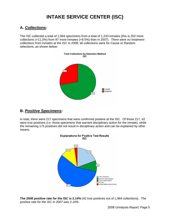# **INTAKE SERVICE CENTER (ISC)**

### **A.** *Collections:*

The ISC collected a total of 1,964 specimens from a total of 1,233 inmates (this is 202 more collections (+11.5%) from 97 more inmates (+8.5%) than in 2007). *There were no treatment collections from inmates at the ISC in 2008;* all collections were for Cause or Random selections, as shown below:

![](_page_7_Figure_3.jpeg)

### **B.** *Positive Specimens:*

In total, there were 217 specimens that were confirmed positive at the ISC. Of those 217, 42 were true positives (i.e. those specimens that warrant disciplinary action for the inmate), while the remaining 175 positives did not result in disciplinary action and can be explained by other means.

![](_page_7_Figure_6.jpeg)

**The 2008 positive rate for the ISC is 2.14%** (42 true positives out of 1,964 collections). *The positive rate for the ISC in 2007 was 2.16%.*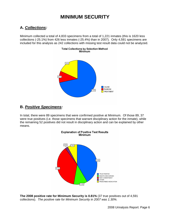# **MINIMUM SECURITY**

### **A.** *Collections:*

Minimum collected a total of 4,833 specimens from a total of 1,221 inmates (this is 1620 less collections (-25.1%) from 426 less inmates (-25.4%) than in 2007). Only 4,591 specimens are included for this analysis as 242 collections with missing test result data could not be analyzed.

![](_page_8_Figure_3.jpeg)

### **B.** *Positive Specimens:*

In total, there were 89 specimens that were confirmed positive at Minimum. Of those 89, 37 were true positives (i.e. those specimens that warrant disciplinary action for the inmate), while the remaining 52 positives did not result in disciplinary action and can be explained by other means.

![](_page_8_Figure_6.jpeg)

**The 2008 positive rate for Minimum Security is 0.81%** (37 true positives out of 4,591 collections). *The positive rate for Minimum Security in 2007 was 1.30%.*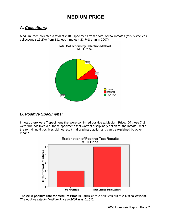## **MEDIUM PRICE**

### **A.** *Collections:*

Medium Price collected a total of 2,189 specimens from a total of 357 inmates (this is 422 less collections (-16.2%) from 131 less inmates (-23.7%) than in 2007).

![](_page_9_Figure_3.jpeg)

### **B.** *Positive Specimens:*

In total, there were 7 specimens that were confirmed positive at Medium Price. Of those 7, 2 were true positives (i.e. those specimens that warrant disciplinary action for the inmate), while the remaining 5 positives did not result in disciplinary action and can be explained by other means.

![](_page_9_Figure_6.jpeg)

**The 2008 positive rate for Medium Price is 0.09%** (2 true positives out of 2,189 collections). *The positive rate for Medium Price in 2007 was 0.16%.*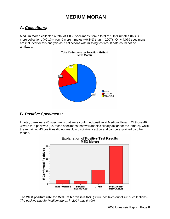### **MEDIUM MORAN**

### **A.** *Collections:*

Medium Moran collected a total of 4,086 specimens from a total of 1,159 inmates (this is 83 more collections (+2.1%) from 9 more inmates (+0.8%) than in 2007). Only 4,079 specimens are included for this analysis as 7 collections with missing test result data could not be analyzed.

![](_page_10_Figure_3.jpeg)

### **B.** *Positive Specimens:*

In total, there were 46 specimens that were confirmed positive at Medium Moran. Of those 46, 3 were true positives (i.e. those specimens that warrant disciplinary action for the inmate), while the remaining 43 positives did not result in disciplinary action and can be explained by other means.

![](_page_10_Figure_6.jpeg)

# Explanation of Positive Test Results<br>MED Moran

**The 2008 positive rate for Medium Moran is 0.07%** (3 true positives out of 4,079 collections). *The positive rate for Medium Moran in 2007 was 0.40%.*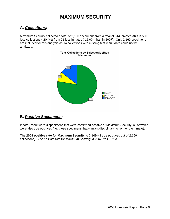# **MAXIMUM SECURITY**

### **A.** *Collections:*

Maximum Security collected a total of 2,183 specimens from a total of 514 inmates (this is 560 less collections (-20.4%) from 91 less inmates (-15.0%) than in 2007). Only 2,169 specimens are included for this analysis as 14 collections with missing test result data could not be analyzed.

![](_page_11_Figure_3.jpeg)

### **B.** *Positive Specimens:*

In total, there were 3 specimens that were confirmed positive at Maximum Security, all of which were also true positives (i.e. those specimens that warrant disciplinary action for the inmate).

**The 2008 positive rate for Maximum Security is 0.14%** (3 true positives out of 2,169 collections). *The positive rate for Maximum Security in 2007 was 0.11%.*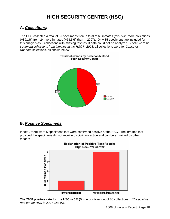# **HIGH SECURITY CENTER (HSC)**

### **A.** *Collections:*

The HSC collected a total of 87 specimens from a total of 65 inmates (this is 41 more collections (+89.1%) from 24 more inmates (+58.5%) than in 2007). Only 85 specimens are included for this analysis as 2 collections with missing test result data could not be analyzed. *There were no treatment collections from inmates at the HSC in 2008;* all collections were for Cause or Random selections, as shown below:

Total Collections by Selection Method

![](_page_12_Figure_3.jpeg)

### **B.** *Positive Specimens:*

In total, there were 5 specimens that were confirmed positive at the HSC. The inmates that provided the specimens did not receive disciplinary action and can be explained by other means:

![](_page_12_Figure_6.jpeg)

**The 2008 positive rate for the HSC is 0%** (0 true positives out of 85 collections). *The positive rate for the HSC in 2007 was 0%.*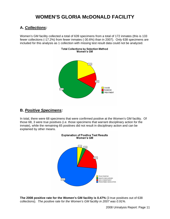# **WOMEN'S GLORIA McDONALD FACILITY**

### **A.** *Collections:*

Women's GM facility collected a total of 639 specimens from a total of 172 inmates (this is 133 fewer collections (-17.2%) from fewer inmates (-30.6%) than in 2007). Only 638 specimens are included for this analysis as 1 collection with missing test result data could not be analyzed.

Total Collections by Selection Method

![](_page_13_Figure_3.jpeg)

### **B.** *Positive Specimens:*

In total, there were 68 specimens that were confirmed positive at the Women's GM facility. Of those 68, 3 were true positives (i.e. those specimens that warrant disciplinary action for the inmate), while the remaining 65 positives did not result in disciplinary action and can be explained by other means.

![](_page_13_Figure_6.jpeg)

Women's GM

**Explanation of Positive Test Results** 

**The 2008 positive rate for the Women's GM facility is 0.47%** (3 true positives out of 638 collections). *The positive rate for the Women's GM facility in 2007 was 0.91%.*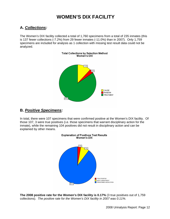# **WOMEN'S DIX FACILITY**

### **A.** *Collections:*

The Women's DIX facility collected a total of 1,760 specimens from a total of 235 inmates (this is 137 fewer collections (-7.2%) from 29 fewer inmates (-11.0%) than in 2007). Only 1,759 specimens are included for analysis as 1 collection with missing test result data could not be analyzed.

![](_page_14_Figure_3.jpeg)

### **B.** *Positive Specimens:*

In total, there were 107 specimens that were confirmed positive at the Women's DIX facility. Of those 107, 3 were true positives (i.e. those specimens that warrant disciplinary action for the inmate), while the remaining 104 positives did not result in disciplinary action and can be explained by other means.

![](_page_14_Figure_6.jpeg)

**The 2008 positive rate for the Women's DIX facility is 0.17%** (3 true positives out of 1,759 collections). *The positive rate for the Women's DIX facility in 2007 was 0.11%.*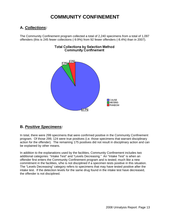## **COMMUNITY CONFINEMENT**

### **A.** *Collections:*

The Community Confinement program collected a total of 2,240 specimens from a total of 1,097 offenders (this is 245 fewer collections (-9.9%) from 92 fewer offenders (-8.4%) than in 2007).

![](_page_15_Figure_3.jpeg)

### **Total Collections by Selection Method Community Confinement**

### **B.** *Positive Specimens:*

In total, there were 299 specimens that were confirmed positive in the Community Confinement program. Of those 299, 124 were true positives (i.e. those specimens that warrant disciplinary action for the offender). The remaining 175 positives did not result in disciplinary action and can be explained by other means.

In addition to the explanations used by the facilities, Community Confinement includes two additional categories: "Intake Test" and "Levels Decreasing." An "Intake Test" is when an offender first enters the Community Confinement program and is tested; much like a new commitment in the facilities, s/he is not disciplined if a specimen tests positive in this situation. The "Levels Decreasing" category refers to specimens that may have tested positive after the intake test. If the detection levels for the same drug found in the intake test have decreased, the offender is not disciplined.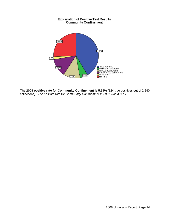![](_page_16_Figure_0.jpeg)

**The 2008 positive rate for Community Confinement is 5.54%** (124 true positives out of 2,240 collections). *The positive rate for Community Confinement in 2007 was 4.83%*.